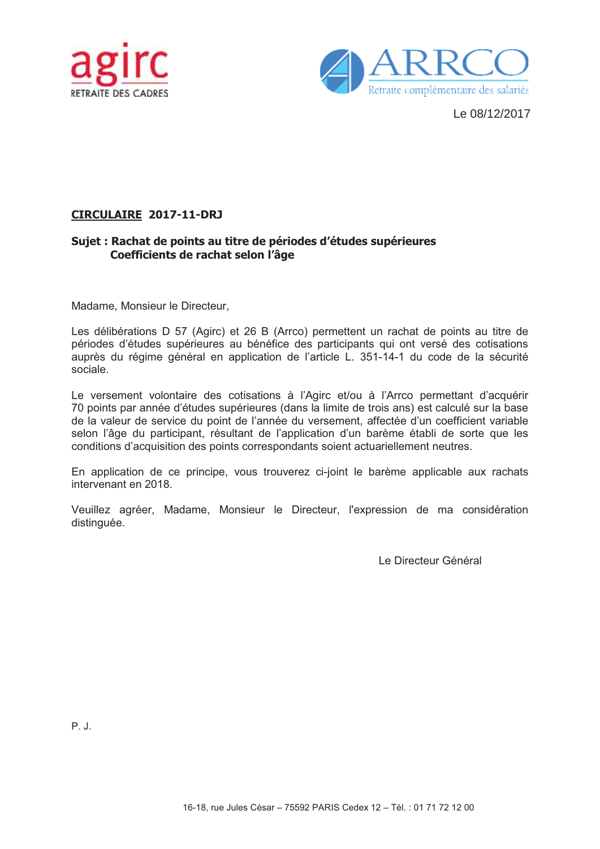



Le 08/12/2017

## **CIRCULAIRE 2017-11-DRJ**

## Sujet : Rachat de points au titre de périodes d'études supérieures Coefficients de rachat selon l'âge

Madame, Monsieur le Directeur,

Les délibérations D 57 (Agirc) et 26 B (Arrco) permettent un rachat de points au titre de périodes d'études supérieures au bénéfice des participants qui ont versé des cotisations auprès du régime général en application de l'article L. 351-14-1 du code de la sécurité sociale

Le versement volontaire des cotisations à l'Agirc et/ou à l'Arrco permettant d'acquérir 70 points par année d'études supérieures (dans la limite de trois ans) est calculé sur la base de la valeur de service du point de l'année du versement, affectée d'un coefficient variable selon l'âge du participant, résultant de l'application d'un barème établi de sorte que les conditions d'acquisition des points correspondants soient actuariellement neutres.

En application de ce principe, vous trouverez ci-joint le barème applicable aux rachats intervenant en 2018.

Veuillez agréer, Madame, Monsieur le Directeur, l'expression de ma considération distinguée.

Le Directeur Général

 $P$  J